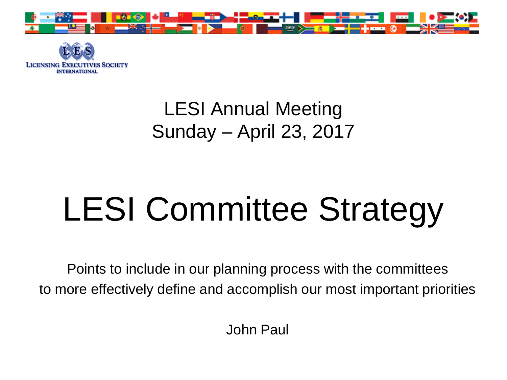



#### LESI Annual Meeting Sunday – April 23, 2017

# LESI Committee Strategy

Points to include in our planning process with the committees to more effectively define and accomplish our most important priorities

John Paul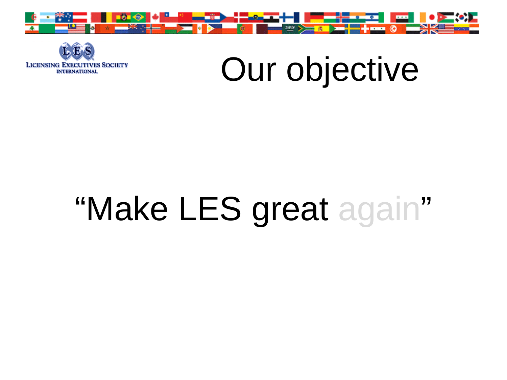



# Our objective

# "Make LES great again"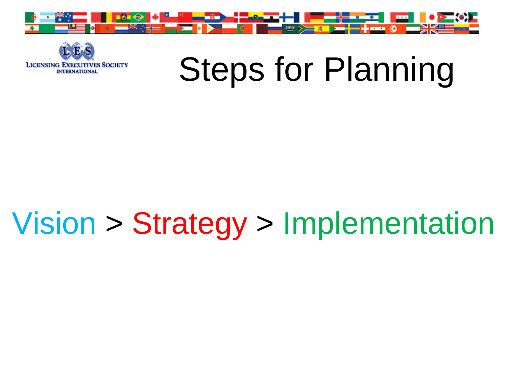



# Steps for Planning

## Vision > Strategy > Implementation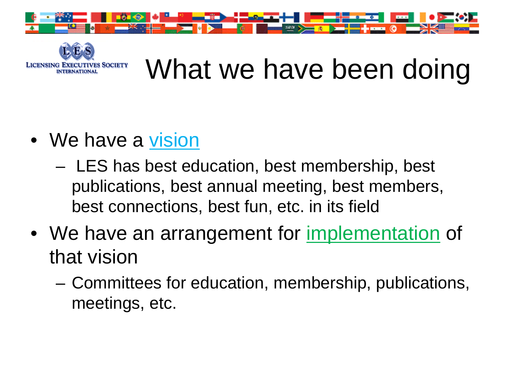



### What we have been doing

- We have a vision
	- LES has best education, best membership, best publications, best annual meeting, best members, best connections, best fun, etc. in its field
- We have an arrangement for implementation of that vision
	- Committees for education, membership, publications, meetings, etc.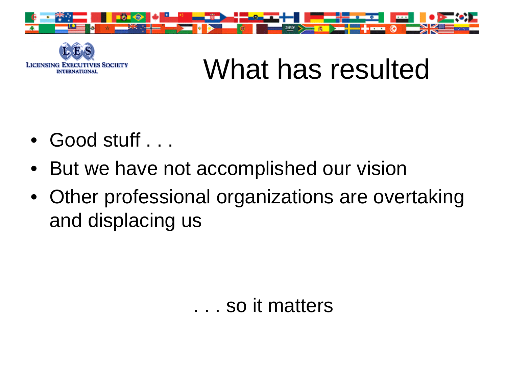



### What has resulted

- Good stuff . . .
- But we have not accomplished our vision
- Other professional organizations are overtaking and displacing us

#### . . . so it matters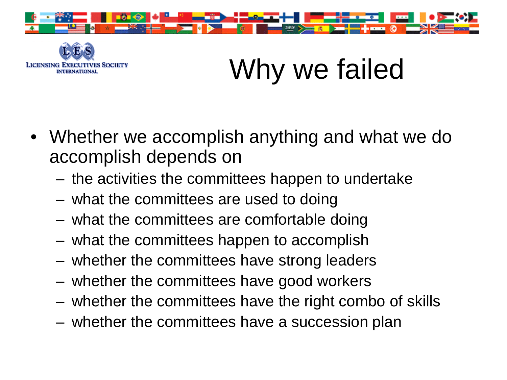



## Why we failed

- Whether we accomplish anything and what we do accomplish depends on
	- the activities the committees happen to undertake
	- what the committees are used to doing
	- what the committees are comfortable doing
	- what the committees happen to accomplish
	- whether the committees have strong leaders
	- whether the committees have good workers
	- whether the committees have the right combo of skills
	- whether the committees have a succession plan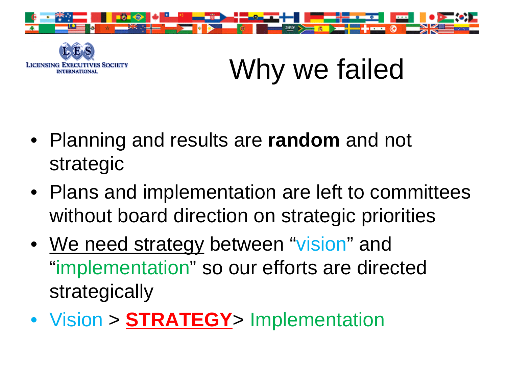



Why we failed

- Planning and results are **random** and not strategic
- Plans and implementation are left to committees without board direction on strategic priorities
- We need strategy between "vision" and "implementation" so our efforts are directed strategically
- Vision > **STRATEGY**> Implementation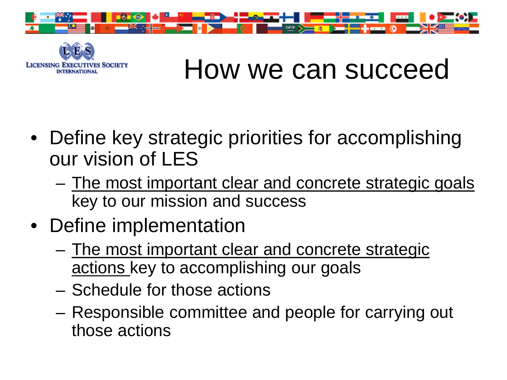



#### How we can succeed

- Define key strategic priorities for accomplishing our vision of LES
	- The most important clear and concrete strategic goals key to our mission and success
- Define implementation
	- The most important clear and concrete strategic actions key to accomplishing our goals
	- Schedule for those actions
	- Responsible committee and people for carrying out those actions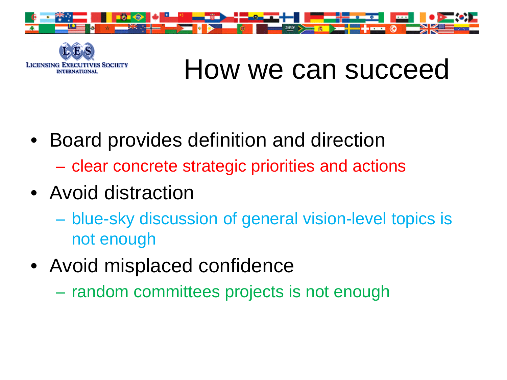



#### How we can succeed

- Board provides definition and direction
	- clear concrete strategic priorities and actions
- Avoid distraction
	- blue-sky discussion of general vision-level topics is not enough
- Avoid misplaced confidence
	- random committees projects is not enough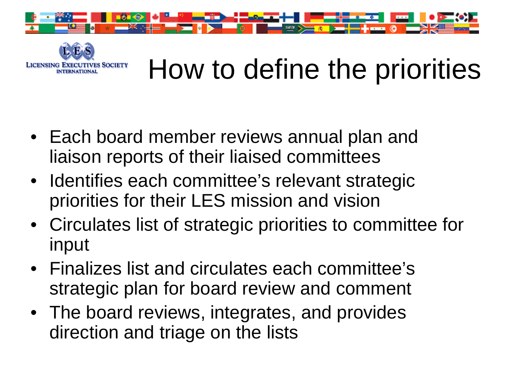



### How to define the priorities

- Each board member reviews annual plan and liaison reports of their liaised committees
- Identifies each committee's relevant strategic priorities for their LES mission and vision
- Circulates list of strategic priorities to committee for input
- Finalizes list and circulates each committee's strategic plan for board review and comment
- The board reviews, integrates, and provides direction and triage on the lists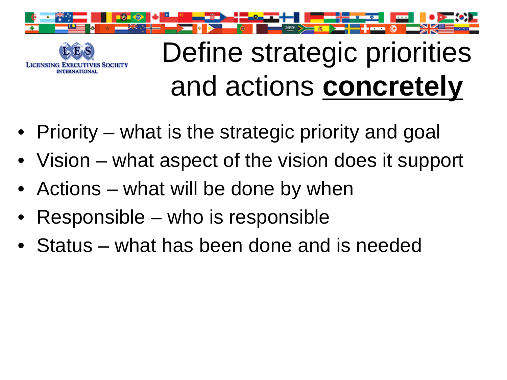



### Define strategic priorities and actions **concretely**

- Priority what is the strategic priority and goal
- Vision what aspect of the vision does it support
- Actions what will be done by when
- Responsible who is responsible
- Status what has been done and is needed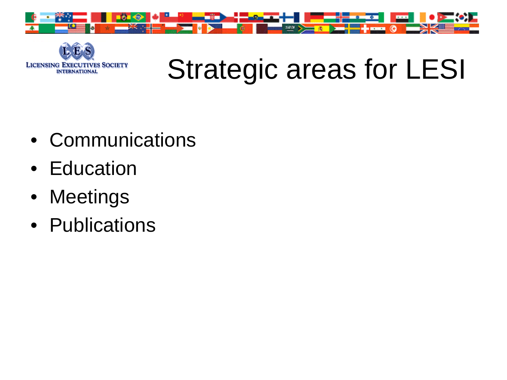



## Strategic areas for LESI

- Communications
- Education
- Meetings
- Publications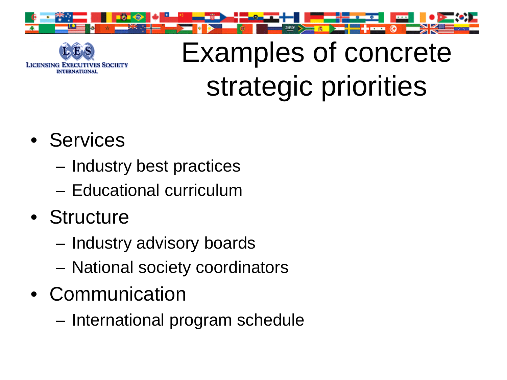



## Examples of concrete strategic priorities

- Services
	- Industry best practices
	- Educational curriculum
- Structure
	- Industry advisory boards
	- National society coordinators
- Communication
	- International program schedule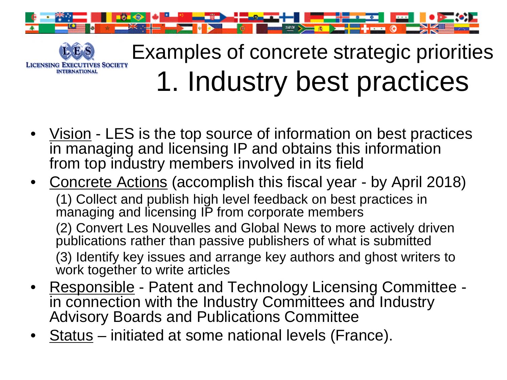

**INTERNATIONAL** 

#### Examples of concrete strategic priorities **LICENSING EXECUTIVES SOCIETY** 1. Industry best practices

- Vision LES is the top source of information on best practices in managing and licensing IP and obtains this information from top industry members involved in its field
- Concrete Actions (accomplish this fiscal year by April 2018) (1) Collect and publish high level feedback on best practices in managing and licensing IP from corporate members (2) Convert Les Nouvelles and Global News to more actively driven publications rather than passive publishers of what is submitted (3) Identify key issues and arrange key authors and ghost writers to work together to write articles
- Responsible Patent and Technology Licensing Committee -<br>in connection with the Industry Committees and Industry Advisory Boards and Publications Committee
- Status initiated at some national levels (France).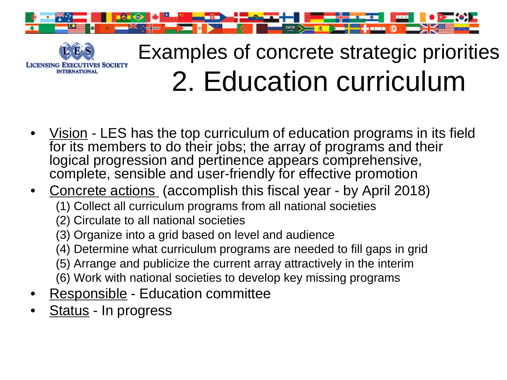



#### Examples of concrete strategic priorities 2. Education curriculum

- Vision LES has the top curriculum of education programs in its field for its members to do their jobs; the array of programs and their logical progression and pertinence appears comprehensive, complete, sensible and user-friendly for effective promotion
- Concrete actions (accomplish this fiscal year by April 2018)
	- (1) Collect all curriculum programs from all national societies
	- (2) Circulate to all national societies
	- (3) Organize into a grid based on level and audience
	- (4) Determine what curriculum programs are needed to fill gaps in grid
	- (5) Arrange and publicize the current array attractively in the interim
	- (6) Work with national societies to develop key missing programs
- Responsible Education committee
- Status In progress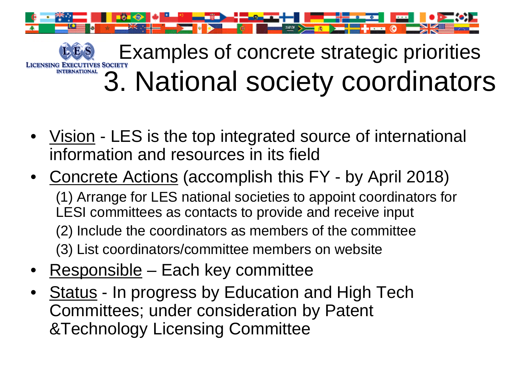

[E](http://www.lesi.org/)Xamples of concrete strategic priorities 3. National society coordinators

- Vision LES is the top integrated source of international information and resources in its field
- Concrete Actions (accomplish this FY by April 2018) (1) Arrange for LES national societies to appoint coordinators for LESI committees as contacts to provide and receive input (2) Include the coordinators as members of the committee (3) List coordinators/committee members on website
- Responsible Each key committee
- **Status In progress by Education and High Tech** Committees; under consideration by Patent &Technology Licensing Committee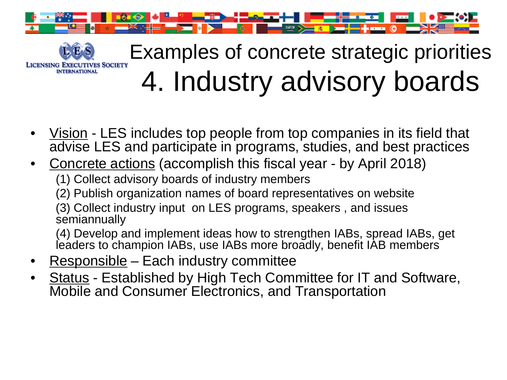

#### [E](http://www.lesi.org/)xamples of concrete strategic priorities **LICENSING EXECUTIVES SOCIETY** 4. Industry advisory boards

- Vision LES includes top people from top companies in its field that advise LES and participate in programs, studies, and best practices
- Concrete actions (accomplish this fiscal year by April 2018) (1) Collect advisory boards of industry members
	- (2) Publish organization names of board representatives on website

(3) Collect industry input on LES programs, speakers , and issues **semiannually** 

(4) Develop and implement ideas how to strengthen IABs, spread IABs, get leaders to champion IABs, use IABs more broadly, benefit IAB members

Responsible – Each industry committee

**INTERNATIONAL** 

• Status - Established by High Tech Committee for IT and Software, Mobile and Consumer Electronics, and Transportation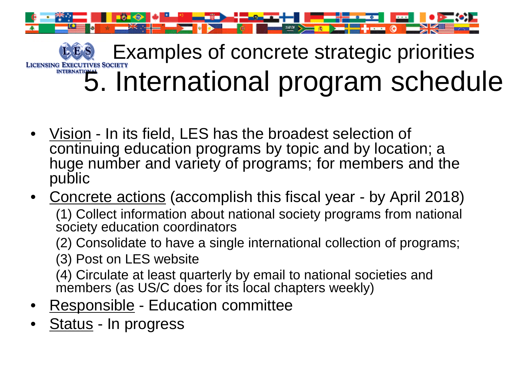

LES [Ex](http://www.lesi.org/)amples of concrete strategic priorities 5. International program schedule

- Vision In its field, LES has the broadest selection of continuing education programs by topic and by location; a huge number and variety of programs; for members and the public
- Concrete actions (accomplish this fiscal year by April 2018) (1) Collect information about national society programs from national society education coordinators
	- (2) Consolidate to have a single international collection of programs;
	- (3) Post on LES website

(4) Circulate at least quarterly by email to national societies and members (as US/C does for its local chapters weekly)

- Responsible Education committee
- Status In progress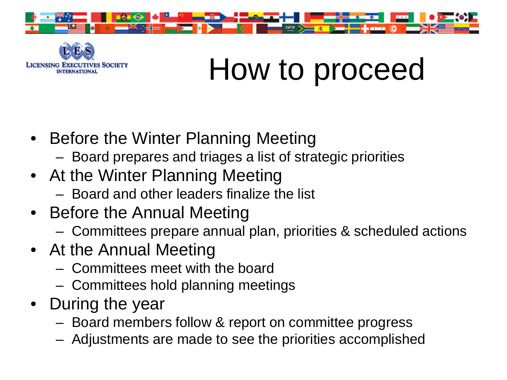



## How to proceed

- Before the Winter Planning Meeting
	- Board prepares and triages a list of strategic priorities
- At the Winter Planning Meeting
	- Board and other leaders finalize the list
- Before the Annual Meeting
	- Committees prepare annual plan, priorities & scheduled actions
- At the Annual Meeting
	- Committees meet with the board
	- Committees hold planning meetings
- During the year
	- Board members follow & report on committee progress
	- Adjustments are made to see the priorities accomplished